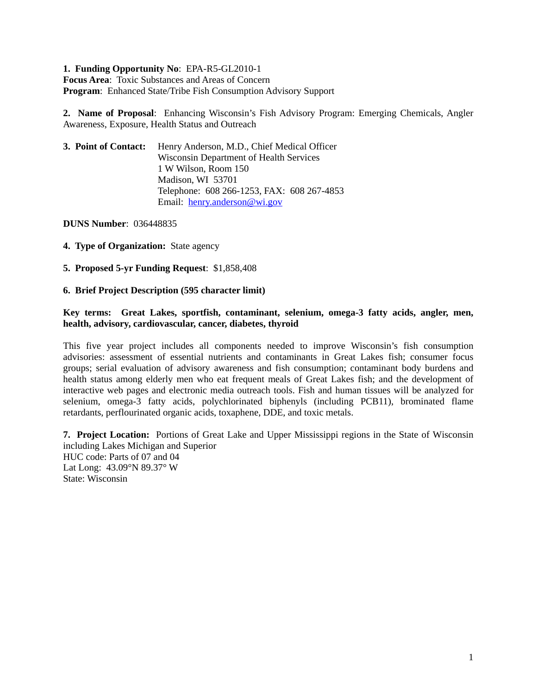## **1. Funding Opportunity No**: EPA-R5-GL2010-1

**Focus Area**: Toxic Substances and Areas of Concern **Program**: Enhanced State/Tribe Fish Consumption Advisory Support

**2. Name of Proposal**: Enhancing Wisconsin's Fish Advisory Program: Emerging Chemicals, Angler Awareness, Exposure, Health Status and Outreach

| 3. Point of Contact: | Henry Anderson, M.D., Chief Medical Officer    |  |  |  |
|----------------------|------------------------------------------------|--|--|--|
|                      | <b>Wisconsin Department of Health Services</b> |  |  |  |
|                      | 1 W Wilson, Room 150                           |  |  |  |
|                      | Madison, WI 53701                              |  |  |  |
|                      | Telephone: 608 266-1253, FAX: 608 267-4853     |  |  |  |
|                      | Email: henry.anderson@wi.gov                   |  |  |  |

**DUNS Number**: 036448835

**4. Type of Organization:** State agency

**5. Proposed 5-yr Funding Request**: \$1,858,408

**6. Brief Project Description (595 character limit)** 

### **Key terms: Great Lakes, sportfish, contaminant, selenium, omega-3 fatty acids, angler, men, health, advisory, cardiovascular, cancer, diabetes, thyroid**

This five year project includes all components needed to improve Wisconsin's fish consumption advisories: assessment of essential nutrients and contaminants in Great Lakes fish; consumer focus groups; serial evaluation of advisory awareness and fish consumption; contaminant body burdens and health status among elderly men who eat frequent meals of Great Lakes fish; and the development of interactive web pages and electronic media outreach tools. Fish and human tissues will be analyzed for selenium, omega-3 fatty acids, polychlorinated biphenyls (including PCB11), brominated flame retardants, perflourinated organic acids, toxaphene, DDE, and toxic metals.

**7. Project Location:** Portions of Great Lake and Upper Mississippi regions in the State of Wisconsin including Lakes Michigan and Superior HUC code: Parts of 07 and 04 Lat Long: 43.09°N 89.37° W State: Wisconsin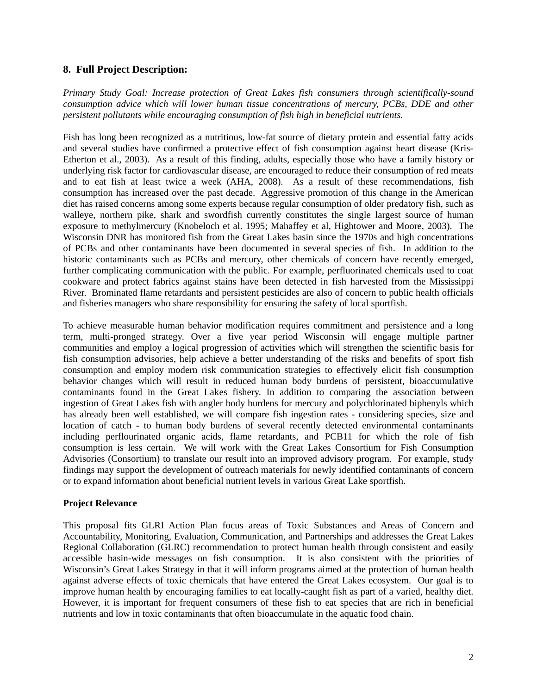# **8. Full Project Description:**

*Primary Study Goal: Increase protection of Great Lakes fish consumers through scientifically-sound consumption advice which will lower human tissue concentrations of mercury, PCBs, DDE and other persistent pollutants while encouraging consumption of fish high in beneficial nutrients.* 

Fish has long been recognized as a nutritious, low-fat source of dietary protein and essential fatty acids and several studies have confirmed a protective effect of fish consumption against heart disease (Kris-Etherton et al., 2003). As a result of this finding, adults, especially those who have a family history or underlying risk factor for cardiovascular disease, are encouraged to reduce their consumption of red meats and to eat fish at least twice a week (AHA, 2008). As a result of these recommendations, fish consumption has increased over the past decade. Aggressive promotion of this change in the American diet has raised concerns among some experts because regular consumption of older predatory fish, such as walleye, northern pike, shark and swordfish currently constitutes the single largest source of human exposure to methylmercury (Knobeloch et al. 1995; Mahaffey et al, Hightower and Moore, 2003). The Wisconsin DNR has monitored fish from the Great Lakes basin since the 1970s and high concentrations of PCBs and other contaminants have been documented in several species of fish. In addition to the historic contaminants such as PCBs and mercury, other chemicals of concern have recently emerged, further complicating communication with the public. For example, perfluorinated chemicals used to coat cookware and protect fabrics against stains have been detected in fish harvested from the Mississippi River. Brominated flame retardants and persistent pesticides are also of concern to public health officials and fisheries managers who share responsibility for ensuring the safety of local sportfish.

To achieve measurable human behavior modification requires commitment and persistence and a long term, multi-pronged strategy. Over a five year period Wisconsin will engage multiple partner communities and employ a logical progression of activities which will strengthen the scientific basis for fish consumption advisories, help achieve a better understanding of the risks and benefits of sport fish consumption and employ modern risk communication strategies to effectively elicit fish consumption behavior changes which will result in reduced human body burdens of persistent, bioaccumulative contaminants found in the Great Lakes fishery. In addition to comparing the association between ingestion of Great Lakes fish with angler body burdens for mercury and polychlorinated biphenyls which has already been well established, we will compare fish ingestion rates - considering species, size and location of catch - to human body burdens of several recently detected environmental contaminants including perflourinated organic acids, flame retardants, and PCB11 for which the role of fish consumption is less certain. We will work with the Great Lakes Consortium for Fish Consumption Advisories (Consortium) to translate our result into an improved advisory program. For example, study findings may support the development of outreach materials for newly identified contaminants of concern or to expand information about beneficial nutrient levels in various Great Lake sportfish.

# **Project Relevance**

This proposal fits GLRI Action Plan focus areas of Toxic Substances and Areas of Concern and Accountability, Monitoring, Evaluation, Communication, and Partnerships and addresses the Great Lakes Regional Collaboration (GLRC) recommendation to protect human health through consistent and easily accessible basin-wide messages on fish consumption. It is also consistent with the priorities of Wisconsin's Great Lakes Strategy in that it will inform programs aimed at the protection of human health against adverse effects of toxic chemicals that have entered the Great Lakes ecosystem. Our goal is to improve human health by encouraging families to eat locally-caught fish as part of a varied, healthy diet. However, it is important for frequent consumers of these fish to eat species that are rich in beneficial nutrients and low in toxic contaminants that often bioaccumulate in the aquatic food chain.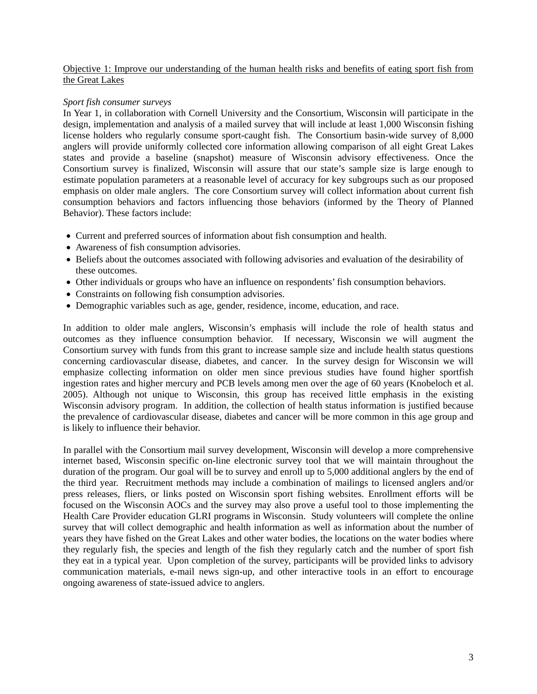### Objective 1: Improve our understanding of the human health risks and benefits of eating sport fish from the Great Lakes

# *Sport fish consumer surveys*

In Year 1, in collaboration with Cornell University and the Consortium, Wisconsin will participate in the design, implementation and analysis of a mailed survey that will include at least 1,000 Wisconsin fishing license holders who regularly consume sport-caught fish. The Consortium basin-wide survey of 8,000 anglers will provide uniformly collected core information allowing comparison of all eight Great Lakes states and provide a baseline (snapshot) measure of Wisconsin advisory effectiveness. Once the Consortium survey is finalized, Wisconsin will assure that our state's sample size is large enough to estimate population parameters at a reasonable level of accuracy for key subgroups such as our proposed emphasis on older male anglers. The core Consortium survey will collect information about current fish consumption behaviors and factors influencing those behaviors (informed by the Theory of Planned Behavior). These factors include:

- Current and preferred sources of information about fish consumption and health.
- Awareness of fish consumption advisories.
- Beliefs about the outcomes associated with following advisories and evaluation of the desirability of these outcomes.
- Other individuals or groups who have an influence on respondents' fish consumption behaviors.
- Constraints on following fish consumption advisories.
- Demographic variables such as age, gender, residence, income, education, and race.

In addition to older male anglers, Wisconsin's emphasis will include the role of health status and outcomes as they influence consumption behavior. If necessary, Wisconsin we will augment the Consortium survey with funds from this grant to increase sample size and include health status questions concerning cardiovascular disease, diabetes, and cancer. In the survey design for Wisconsin we will emphasize collecting information on older men since previous studies have found higher sportfish ingestion rates and higher mercury and PCB levels among men over the age of 60 years (Knobeloch et al. 2005). Although not unique to Wisconsin, this group has received little emphasis in the existing Wisconsin advisory program. In addition, the collection of health status information is justified because the prevalence of cardiovascular disease, diabetes and cancer will be more common in this age group and is likely to influence their behavior.

In parallel with the Consortium mail survey development, Wisconsin will develop a more comprehensive internet based, Wisconsin specific on-line electronic survey tool that we will maintain throughout the duration of the program. Our goal will be to survey and enroll up to 5,000 additional anglers by the end of the third year. Recruitment methods may include a combination of mailings to licensed anglers and/or press releases, fliers, or links posted on Wisconsin sport fishing websites. Enrollment efforts will be focused on the Wisconsin AOCs and the survey may also prove a useful tool to those implementing the Health Care Provider education GLRI programs in Wisconsin. Study volunteers will complete the online survey that will collect demographic and health information as well as information about the number of years they have fished on the Great Lakes and other water bodies, the locations on the water bodies where they regularly fish, the species and length of the fish they regularly catch and the number of sport fish they eat in a typical year. Upon completion of the survey, participants will be provided links to advisory communication materials, e-mail news sign-up, and other interactive tools in an effort to encourage ongoing awareness of state-issued advice to anglers.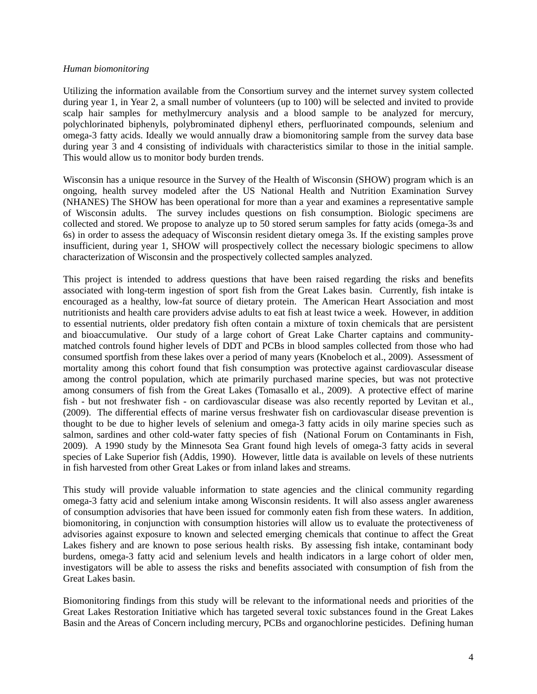#### *Human biomonitoring*

Utilizing the information available from the Consortium survey and the internet survey system collected during year 1, in Year 2, a small number of volunteers (up to 100) will be selected and invited to provide scalp hair samples for methylmercury analysis and a blood sample to be analyzed for mercury, polychlorinated biphenyls, polybrominated diphenyl ethers, perfluorinated compounds, selenium and omega-3 fatty acids. Ideally we would annually draw a biomonitoring sample from the survey data base during year 3 and 4 consisting of individuals with characteristics similar to those in the initial sample. This would allow us to monitor body burden trends.

Wisconsin has a unique resource in the Survey of the Health of Wisconsin (SHOW) program which is an ongoing, health survey modeled after the US National Health and Nutrition Examination Survey (NHANES) The SHOW has been operational for more than a year and examines a representative sample of Wisconsin adults. The survey includes questions on fish consumption. Biologic specimens are collected and stored. We propose to analyze up to 50 stored serum samples for fatty acids (omega-3s and 6s) in order to assess the adequacy of Wisconsin resident dietary omega 3s. If the existing samples prove insufficient, during year 1, SHOW will prospectively collect the necessary biologic specimens to allow characterization of Wisconsin and the prospectively collected samples analyzed.

This project is intended to address questions that have been raised regarding the risks and benefits associated with long-term ingestion of sport fish from the Great Lakes basin. Currently, fish intake is encouraged as a healthy, low-fat source of dietary protein. The American Heart Association and most nutritionists and health care providers advise adults to eat fish at least twice a week. However, in addition to essential nutrients, older predatory fish often contain a mixture of toxin chemicals that are persistent and bioaccumulative. Our study of a large cohort of Great Lake Charter captains and communitymatched controls found higher levels of DDT and PCBs in blood samples collected from those who had consumed sportfish from these lakes over a period of many years (Knobeloch et al., 2009). Assessment of mortality among this cohort found that fish consumption was protective against cardiovascular disease among the control population, which ate primarily purchased marine species, but was not protective among consumers of fish from the Great Lakes (Tomasallo et al., 2009). A protective effect of marine fish - but not freshwater fish - on cardiovascular disease was also recently reported by Levitan et al., (2009). The differential effects of marine versus freshwater fish on cardiovascular disease prevention is thought to be due to higher levels of selenium and omega-3 fatty acids in oily marine species such as salmon, sardines and other cold-water fatty species of fish (National Forum on Contaminants in Fish, 2009). A 1990 study by the Minnesota Sea Grant found high levels of omega-3 fatty acids in several species of Lake Superior fish (Addis, 1990). However, little data is available on levels of these nutrients in fish harvested from other Great Lakes or from inland lakes and streams.

This study will provide valuable information to state agencies and the clinical community regarding omega-3 fatty acid and selenium intake among Wisconsin residents. It will also assess angler awareness of consumption advisories that have been issued for commonly eaten fish from these waters. In addition, biomonitoring, in conjunction with consumption histories will allow us to evaluate the protectiveness of advisories against exposure to known and selected emerging chemicals that continue to affect the Great Lakes fishery and are known to pose serious health risks. By assessing fish intake, contaminant body burdens, omega-3 fatty acid and selenium levels and health indicators in a large cohort of older men, investigators will be able to assess the risks and benefits associated with consumption of fish from the Great Lakes basin.

Biomonitoring findings from this study will be relevant to the informational needs and priorities of the Great Lakes Restoration Initiative which has targeted several toxic substances found in the Great Lakes Basin and the Areas of Concern including mercury, PCBs and organochlorine pesticides. Defining human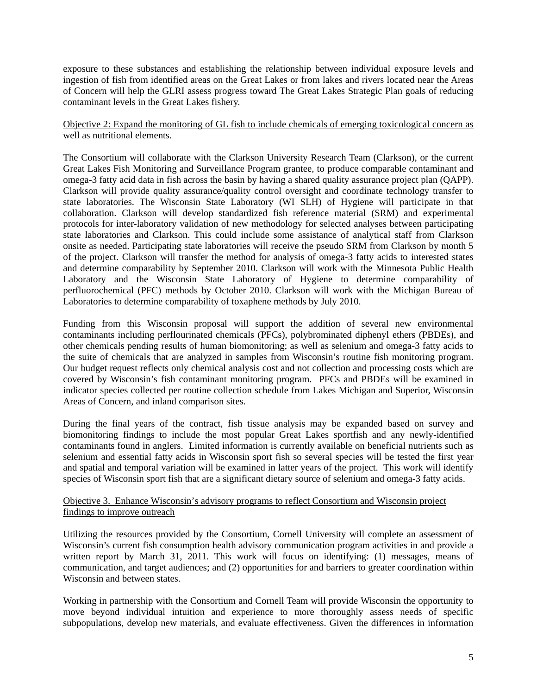exposure to these substances and establishing the relationship between individual exposure levels and ingestion of fish from identified areas on the Great Lakes or from lakes and rivers located near the Areas of Concern will help the GLRI assess progress toward The Great Lakes Strategic Plan goals of reducing contaminant levels in the Great Lakes fishery.

Objective 2: Expand the monitoring of GL fish to include chemicals of emerging toxicological concern as well as nutritional elements.

The Consortium will collaborate with the Clarkson University Research Team (Clarkson), or the current Great Lakes Fish Monitoring and Surveillance Program grantee, to produce comparable contaminant and omega-3 fatty acid data in fish across the basin by having a shared quality assurance project plan (QAPP). Clarkson will provide quality assurance/quality control oversight and coordinate technology transfer to state laboratories. The Wisconsin State Laboratory (WI SLH) of Hygiene will participate in that collaboration. Clarkson will develop standardized fish reference material (SRM) and experimental protocols for inter-laboratory validation of new methodology for selected analyses between participating state laboratories and Clarkson. This could include some assistance of analytical staff from Clarkson onsite as needed. Participating state laboratories will receive the pseudo SRM from Clarkson by month 5 of the project. Clarkson will transfer the method for analysis of omega-3 fatty acids to interested states and determine comparability by September 2010. Clarkson will work with the Minnesota Public Health Laboratory and the Wisconsin State Laboratory of Hygiene to determine comparability of perfluorochemical (PFC) methods by October 2010. Clarkson will work with the Michigan Bureau of Laboratories to determine comparability of toxaphene methods by July 2010.

Funding from this Wisconsin proposal will support the addition of several new environmental contaminants including perflourinated chemicals (PFCs), polybrominated diphenyl ethers (PBDEs), and other chemicals pending results of human biomonitoring; as well as selenium and omega-3 fatty acids to the suite of chemicals that are analyzed in samples from Wisconsin's routine fish monitoring program. Our budget request reflects only chemical analysis cost and not collection and processing costs which are covered by Wisconsin's fish contaminant monitoring program. PFCs and PBDEs will be examined in indicator species collected per routine collection schedule from Lakes Michigan and Superior, Wisconsin Areas of Concern, and inland comparison sites.

During the final years of the contract, fish tissue analysis may be expanded based on survey and biomonitoring findings to include the most popular Great Lakes sportfish and any newly-identified contaminants found in anglers. Limited information is currently available on beneficial nutrients such as selenium and essential fatty acids in Wisconsin sport fish so several species will be tested the first year and spatial and temporal variation will be examined in latter years of the project. This work will identify species of Wisconsin sport fish that are a significant dietary source of selenium and omega-3 fatty acids.

# Objective 3. Enhance Wisconsin's advisory programs to reflect Consortium and Wisconsin project findings to improve outreach

Utilizing the resources provided by the Consortium, Cornell University will complete an assessment of Wisconsin's current fish consumption health advisory communication program activities in and provide a written report by March 31, 2011. This work will focus on identifying: (1) messages, means of communication, and target audiences; and (2) opportunities for and barriers to greater coordination within Wisconsin and between states.

Working in partnership with the Consortium and Cornell Team will provide Wisconsin the opportunity to move beyond individual intuition and experience to more thoroughly assess needs of specific subpopulations, develop new materials, and evaluate effectiveness. Given the differences in information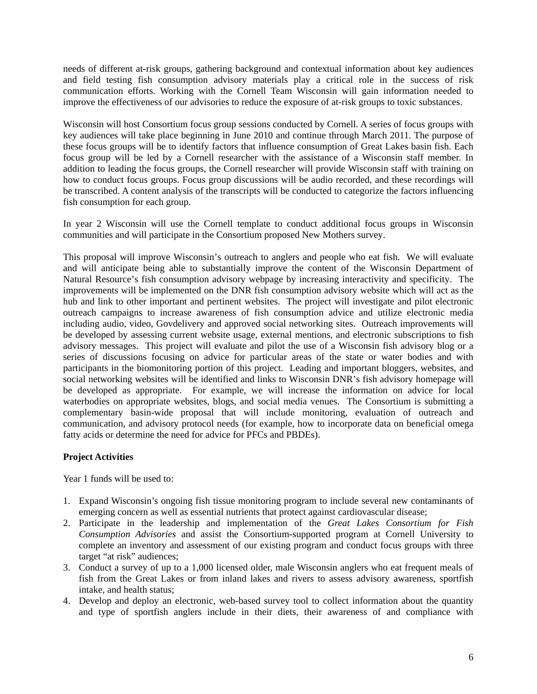needs of different at-risk groups, gathering background and contextual information about key audiences and field testing fish consumption advisory materials play a critical role in the success of risk communication efforts. Working with the Cornell Team Wisconsin will gain information needed to improve the effectiveness of our advisories to reduce the exposure of at-risk groups to toxic substances.

Wisconsin will host Consortium focus group sessions conducted by Cornell. A series of focus groups with key audiences will take place beginning in June 2010 and continue through March 2011. The purpose of these focus groups will be to identify factors that influence consumption of Great Lakes basin fish. Each focus group will be led by a Cornell researcher with the assistance of a Wisconsin staff member. In addition to leading the focus groups, the Cornell researcher will provide Wisconsin staff with training on how to conduct focus groups. Focus group discussions will be audio recorded, and these recordings will be transcribed. A content analysis of the transcripts will be conducted to categorize the factors influencing fish consumption for each group.

In year 2 Wisconsin will use the Cornell template to conduct additional focus groups in Wisconsin communities and will participate in the Consortium proposed New Mothers survey.

This proposal will improve Wisconsin's outreach to anglers and people who eat fish. We will evaluate and will anticipate being able to substantially improve the content of the Wisconsin Department of Natural Resource's fish consumption advisory webpage by increasing interactivity and specificity. The improvements will be implemented on the DNR fish consumption advisory website which will act as the hub and link to other important and pertinent websites. The project will investigate and pilot electronic outreach campaigns to increase awareness of fish consumption advice and utilize electronic media including audio, video, Govdelivery and approved social networking sites. Outreach improvements will be developed by assessing current website usage, external mentions, and electronic subscriptions to fish advisory messages. This project will evaluate and pilot the use of a Wisconsin fish advisory blog or a series of discussions focusing on advice for particular areas of the state or water bodies and with participants in the biomonitoring portion of this project. Leading and important bloggers, websites, and social networking websites will be identified and links to Wisconsin DNR's fish advisory homepage will be developed as appropriate. For example, we will increase the information on advice for local waterbodies on appropriate websites, blogs, and social media venues. The Consortium is submitting a complementary basin-wide proposal that will include monitoring, evaluation of outreach and communication, and advisory protocol needs (for example, how to incorporate data on beneficial omega fatty acids or determine the need for advice for PFCs and PBDEs).

# **Project Activities**

Year 1 funds will be used to:

- 1. Expand Wisconsin's ongoing fish tissue monitoring program to include several new contaminants of emerging concern as well as essential nutrients that protect against cardiovascular disease;
- 2. Participate in the leadership and implementation of the *Great Lakes Consortium for Fish Consumption Advisories* and assist the Consortium-supported program at Cornell University to complete an inventory and assessment of our existing program and conduct focus groups with three target "at risk" audiences;
- 3. Conduct a survey of up to a 1,000 licensed older, male Wisconsin anglers who eat frequent meals of fish from the Great Lakes or from inland lakes and rivers to assess advisory awareness, sportfish intake, and health status;
- 4. Develop and deploy an electronic, web-based survey tool to collect information about the quantity and type of sportfish anglers include in their diets, their awareness of and compliance with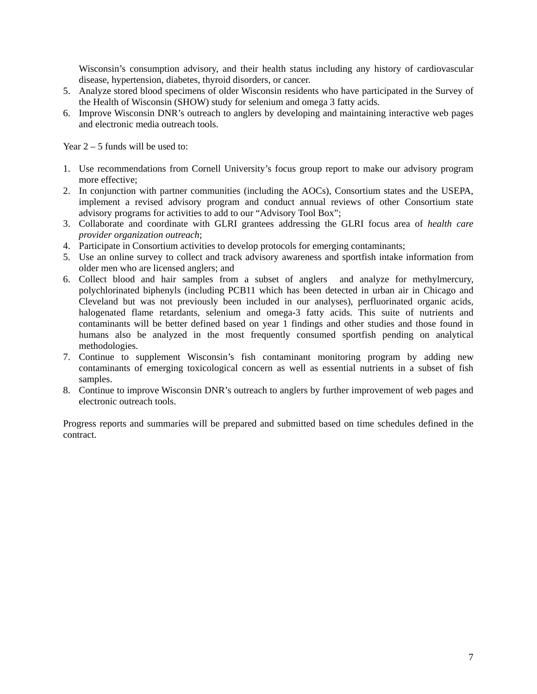Wisconsin's consumption advisory, and their health status including any history of cardiovascular disease, hypertension, diabetes, thyroid disorders, or cancer.

- 5. Analyze stored blood specimens of older Wisconsin residents who have participated in the Survey of the Health of Wisconsin (SHOW) study for selenium and omega 3 fatty acids.
- 6. Improve Wisconsin DNR's outreach to anglers by developing and maintaining interactive web pages and electronic media outreach tools.

Year  $2 - 5$  funds will be used to:

- 1. Use recommendations from Cornell University's focus group report to make our advisory program more effective;
- 2. In conjunction with partner communities (including the AOCs), Consortium states and the USEPA, implement a revised advisory program and conduct annual reviews of other Consortium state advisory programs for activities to add to our "Advisory Tool Box";
- 3. Collaborate and coordinate with GLRI grantees addressing the GLRI focus area of *health care provider organization outreach*;
- 4. Participate in Consortium activities to develop protocols for emerging contaminants;
- 5. Use an online survey to collect and track advisory awareness and sportfish intake information from older men who are licensed anglers; and
- 6. Collect blood and hair samples from a subset of anglers and analyze for methylmercury, polychlorinated biphenyls (including PCB11 which has been detected in urban air in Chicago and Cleveland but was not previously been included in our analyses), perfluorinated organic acids, halogenated flame retardants, selenium and omega-3 fatty acids. This suite of nutrients and contaminants will be better defined based on year 1 findings and other studies and those found in humans also be analyzed in the most frequently consumed sportfish pending on analytical methodologies.
- 7. Continue to supplement Wisconsin's fish contaminant monitoring program by adding new contaminants of emerging toxicological concern as well as essential nutrients in a subset of fish samples.
- 8. Continue to improve Wisconsin DNR's outreach to anglers by further improvement of web pages and electronic outreach tools.

Progress reports and summaries will be prepared and submitted based on time schedules defined in the contract.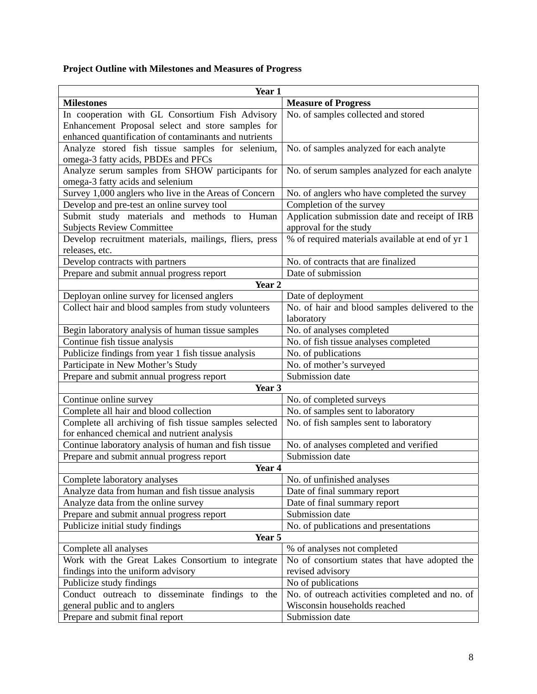# **Project Outline with Milestones and Measures of Progress**

| Year 1                                                 |                                                  |  |  |  |  |  |  |
|--------------------------------------------------------|--------------------------------------------------|--|--|--|--|--|--|
| <b>Milestones</b>                                      | <b>Measure of Progress</b>                       |  |  |  |  |  |  |
| In cooperation with GL Consortium Fish Advisory        | No. of samples collected and stored              |  |  |  |  |  |  |
| Enhancement Proposal select and store samples for      |                                                  |  |  |  |  |  |  |
| enhanced quantification of contaminants and nutrients  |                                                  |  |  |  |  |  |  |
| Analyze stored fish tissue samples for selenium,       | No. of samples analyzed for each analyte         |  |  |  |  |  |  |
| omega-3 fatty acids, PBDEs and PFCs                    |                                                  |  |  |  |  |  |  |
| Analyze serum samples from SHOW participants for       | No. of serum samples analyzed for each analyte   |  |  |  |  |  |  |
| omega-3 fatty acids and selenium                       |                                                  |  |  |  |  |  |  |
| Survey 1,000 anglers who live in the Areas of Concern  | No. of anglers who have completed the survey     |  |  |  |  |  |  |
| Develop and pre-test an online survey tool             | Completion of the survey                         |  |  |  |  |  |  |
| Submit study materials and methods to Human            | Application submission date and receipt of IRB   |  |  |  |  |  |  |
| <b>Subjects Review Committee</b>                       | approval for the study                           |  |  |  |  |  |  |
| Develop recruitment materials, mailings, fliers, press | % of required materials available at end of yr 1 |  |  |  |  |  |  |
| releases, etc.                                         |                                                  |  |  |  |  |  |  |
| Develop contracts with partners                        | No. of contracts that are finalized              |  |  |  |  |  |  |
| Prepare and submit annual progress report              | Date of submission                               |  |  |  |  |  |  |
| Year <sub>2</sub>                                      |                                                  |  |  |  |  |  |  |
| Deployan online survey for licensed anglers            | Date of deployment                               |  |  |  |  |  |  |
| Collect hair and blood samples from study volunteers   | No. of hair and blood samples delivered to the   |  |  |  |  |  |  |
|                                                        | laboratory                                       |  |  |  |  |  |  |
| Begin laboratory analysis of human tissue samples      | No. of analyses completed                        |  |  |  |  |  |  |
| Continue fish tissue analysis                          | No. of fish tissue analyses completed            |  |  |  |  |  |  |
| Publicize findings from year 1 fish tissue analysis    | No. of publications                              |  |  |  |  |  |  |
| Participate in New Mother's Study                      | No. of mother's surveyed                         |  |  |  |  |  |  |
| Prepare and submit annual progress report              | Submission date                                  |  |  |  |  |  |  |
| Year 3                                                 |                                                  |  |  |  |  |  |  |
| Continue online survey                                 | No. of completed surveys                         |  |  |  |  |  |  |
| Complete all hair and blood collection                 | No. of samples sent to laboratory                |  |  |  |  |  |  |
| Complete all archiving of fish tissue samples selected | No. of fish samples sent to laboratory           |  |  |  |  |  |  |
| for enhanced chemical and nutrient analysis            |                                                  |  |  |  |  |  |  |
| Continue laboratory analysis of human and fish tissue  | No. of analyses completed and verified           |  |  |  |  |  |  |
| Prepare and submit annual progress report              | Submission date                                  |  |  |  |  |  |  |
| Year <sub>4</sub>                                      |                                                  |  |  |  |  |  |  |
| Complete laboratory analyses                           | No. of unfinished analyses                       |  |  |  |  |  |  |
| Analyze data from human and fish tissue analysis       | Date of final summary report                     |  |  |  |  |  |  |
| Analyze data from the online survey                    | Date of final summary report                     |  |  |  |  |  |  |
| Prepare and submit annual progress report              | Submission date                                  |  |  |  |  |  |  |
| Publicize initial study findings                       | No. of publications and presentations            |  |  |  |  |  |  |
| Year 5                                                 |                                                  |  |  |  |  |  |  |
| Complete all analyses                                  | % of analyses not completed                      |  |  |  |  |  |  |
| Work with the Great Lakes Consortium to integrate      | No of consortium states that have adopted the    |  |  |  |  |  |  |
| findings into the uniform advisory                     | revised advisory                                 |  |  |  |  |  |  |
| Publicize study findings                               | No of publications                               |  |  |  |  |  |  |
| Conduct outreach to disseminate findings to the        | No. of outreach activities completed and no. of  |  |  |  |  |  |  |
| general public and to anglers                          | Wisconsin households reached                     |  |  |  |  |  |  |
| Prepare and submit final report                        | Submission date                                  |  |  |  |  |  |  |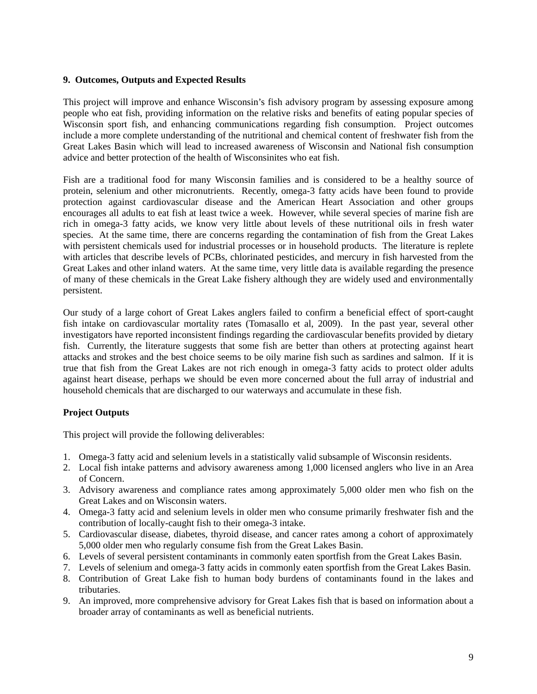# **9. Outcomes, Outputs and Expected Results**

This project will improve and enhance Wisconsin's fish advisory program by assessing exposure among people who eat fish, providing information on the relative risks and benefits of eating popular species of Wisconsin sport fish, and enhancing communications regarding fish consumption. Project outcomes include a more complete understanding of the nutritional and chemical content of freshwater fish from the Great Lakes Basin which will lead to increased awareness of Wisconsin and National fish consumption advice and better protection of the health of Wisconsinites who eat fish.

Fish are a traditional food for many Wisconsin families and is considered to be a healthy source of protein, selenium and other micronutrients. Recently, omega-3 fatty acids have been found to provide protection against cardiovascular disease and the American Heart Association and other groups encourages all adults to eat fish at least twice a week. However, while several species of marine fish are rich in omega-3 fatty acids, we know very little about levels of these nutritional oils in fresh water species. At the same time, there are concerns regarding the contamination of fish from the Great Lakes with persistent chemicals used for industrial processes or in household products. The literature is replete with articles that describe levels of PCBs, chlorinated pesticides, and mercury in fish harvested from the Great Lakes and other inland waters. At the same time, very little data is available regarding the presence of many of these chemicals in the Great Lake fishery although they are widely used and environmentally persistent.

Our study of a large cohort of Great Lakes anglers failed to confirm a beneficial effect of sport-caught fish intake on cardiovascular mortality rates (Tomasallo et al, 2009). In the past year, several other investigators have reported inconsistent findings regarding the cardiovascular benefits provided by dietary fish. Currently, the literature suggests that some fish are better than others at protecting against heart attacks and strokes and the best choice seems to be oily marine fish such as sardines and salmon. If it is true that fish from the Great Lakes are not rich enough in omega-3 fatty acids to protect older adults against heart disease, perhaps we should be even more concerned about the full array of industrial and household chemicals that are discharged to our waterways and accumulate in these fish.

# **Project Outputs**

This project will provide the following deliverables:

- 1. Omega-3 fatty acid and selenium levels in a statistically valid subsample of Wisconsin residents.
- 2. Local fish intake patterns and advisory awareness among 1,000 licensed anglers who live in an Area of Concern.
- 3. Advisory awareness and compliance rates among approximately 5,000 older men who fish on the Great Lakes and on Wisconsin waters.
- 4. Omega-3 fatty acid and selenium levels in older men who consume primarily freshwater fish and the contribution of locally-caught fish to their omega-3 intake.
- 5. Cardiovascular disease, diabetes, thyroid disease, and cancer rates among a cohort of approximately 5,000 older men who regularly consume fish from the Great Lakes Basin.
- 6. Levels of several persistent contaminants in commonly eaten sportfish from the Great Lakes Basin.
- 7. Levels of selenium and omega-3 fatty acids in commonly eaten sportfish from the Great Lakes Basin.
- 8. Contribution of Great Lake fish to human body burdens of contaminants found in the lakes and tributaries.
- 9. An improved, more comprehensive advisory for Great Lakes fish that is based on information about a broader array of contaminants as well as beneficial nutrients.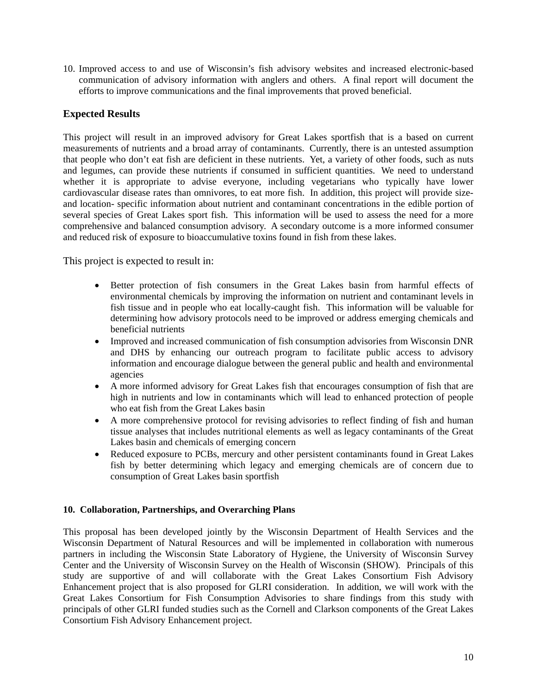10. Improved access to and use of Wisconsin's fish advisory websites and increased electronic-based communication of advisory information with anglers and others. A final report will document the efforts to improve communications and the final improvements that proved beneficial.

# **Expected Results**

This project will result in an improved advisory for Great Lakes sportfish that is a based on current measurements of nutrients and a broad array of contaminants. Currently, there is an untested assumption that people who don't eat fish are deficient in these nutrients. Yet, a variety of other foods, such as nuts and legumes, can provide these nutrients if consumed in sufficient quantities. We need to understand whether it is appropriate to advise everyone, including vegetarians who typically have lower cardiovascular disease rates than omnivores, to eat more fish. In addition, this project will provide sizeand location- specific information about nutrient and contaminant concentrations in the edible portion of several species of Great Lakes sport fish. This information will be used to assess the need for a more comprehensive and balanced consumption advisory. A secondary outcome is a more informed consumer and reduced risk of exposure to bioaccumulative toxins found in fish from these lakes.

This project is expected to result in:

- Better protection of fish consumers in the Great Lakes basin from harmful effects of environmental chemicals by improving the information on nutrient and contaminant levels in fish tissue and in people who eat locally-caught fish. This information will be valuable for determining how advisory protocols need to be improved or address emerging chemicals and beneficial nutrients
- Improved and increased communication of fish consumption advisories from Wisconsin DNR and DHS by enhancing our outreach program to facilitate public access to advisory information and encourage dialogue between the general public and health and environmental agencies
- A more informed advisory for Great Lakes fish that encourages consumption of fish that are high in nutrients and low in contaminants which will lead to enhanced protection of people who eat fish from the Great Lakes basin
- A more comprehensive protocol for revising advisories to reflect finding of fish and human tissue analyses that includes nutritional elements as well as legacy contaminants of the Great Lakes basin and chemicals of emerging concern
- Reduced exposure to PCBs, mercury and other persistent contaminants found in Great Lakes fish by better determining which legacy and emerging chemicals are of concern due to consumption of Great Lakes basin sportfish

# **10. Collaboration, Partnerships, and Overarching Plans**

This proposal has been developed jointly by the Wisconsin Department of Health Services and the Wisconsin Department of Natural Resources and will be implemented in collaboration with numerous partners in including the Wisconsin State Laboratory of Hygiene, the University of Wisconsin Survey Center and the University of Wisconsin Survey on the Health of Wisconsin (SHOW). Principals of this study are supportive of and will collaborate with the Great Lakes Consortium Fish Advisory Enhancement project that is also proposed for GLRI consideration. In addition, we will work with the Great Lakes Consortium for Fish Consumption Advisories to share findings from this study with principals of other GLRI funded studies such as the Cornell and Clarkson components of the Great Lakes Consortium Fish Advisory Enhancement project.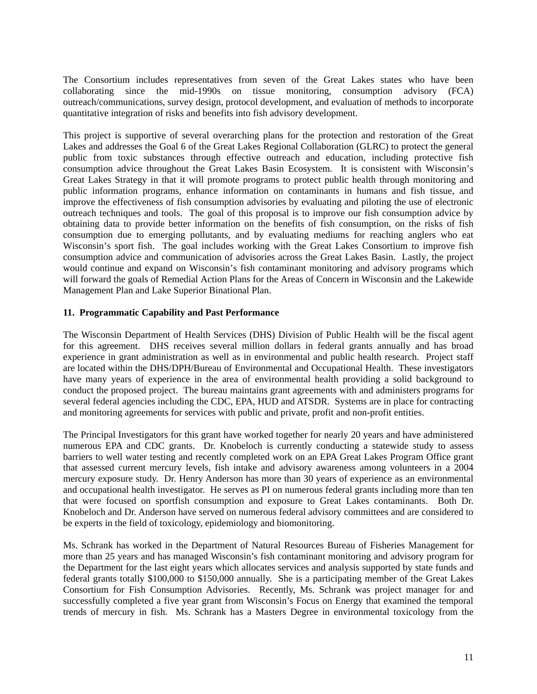The Consortium includes representatives from seven of the Great Lakes states who have been collaborating since the mid-1990s on tissue monitoring, consumption advisory (FCA) outreach/communications, survey design, protocol development, and evaluation of methods to incorporate quantitative integration of risks and benefits into fish advisory development.

This project is supportive of several overarching plans for the protection and restoration of the Great Lakes and addresses the Goal 6 of the Great Lakes Regional Collaboration (GLRC) to protect the general public from toxic substances through effective outreach and education, including protective fish consumption advice throughout the Great Lakes Basin Ecosystem. It is consistent with Wisconsin's Great Lakes Strategy in that it will promote programs to protect public health through monitoring and public information programs, enhance information on contaminants in humans and fish tissue, and improve the effectiveness of fish consumption advisories by evaluating and piloting the use of electronic outreach techniques and tools. The goal of this proposal is to improve our fish consumption advice by obtaining data to provide better information on the benefits of fish consumption, on the risks of fish consumption due to emerging pollutants, and by evaluating mediums for reaching anglers who eat Wisconsin's sport fish. The goal includes working with the Great Lakes Consortium to improve fish consumption advice and communication of advisories across the Great Lakes Basin. Lastly, the project would continue and expand on Wisconsin's fish contaminant monitoring and advisory programs which will forward the goals of Remedial Action Plans for the Areas of Concern in Wisconsin and the Lakewide Management Plan and Lake Superior Binational Plan.

# **11. Programmatic Capability and Past Performance**

The Wisconsin Department of Health Services (DHS) Division of Public Health will be the fiscal agent for this agreement. DHS receives several million dollars in federal grants annually and has broad experience in grant administration as well as in environmental and public health research. Project staff are located within the DHS/DPH/Bureau of Environmental and Occupational Health. These investigators have many years of experience in the area of environmental health providing a solid background to conduct the proposed project. The bureau maintains grant agreements with and administers programs for several federal agencies including the CDC, EPA, HUD and ATSDR. Systems are in place for contracting and monitoring agreements for services with public and private, profit and non-profit entities.

The Principal Investigators for this grant have worked together for nearly 20 years and have administered numerous EPA and CDC grants. Dr. Knobeloch is currently conducting a statewide study to assess barriers to well water testing and recently completed work on an EPA Great Lakes Program Office grant that assessed current mercury levels, fish intake and advisory awareness among volunteers in a 2004 mercury exposure study. Dr. Henry Anderson has more than 30 years of experience as an environmental and occupational health investigator. He serves as PI on numerous federal grants including more than ten that were focused on sportfish consumption and exposure to Great Lakes contaminants. Both Dr. Knobeloch and Dr. Anderson have served on numerous federal advisory committees and are considered to be experts in the field of toxicology, epidemiology and biomonitoring.

Ms. Schrank has worked in the Department of Natural Resources Bureau of Fisheries Management for more than 25 years and has managed Wisconsin's fish contaminant monitoring and advisory program for the Department for the last eight years which allocates services and analysis supported by state funds and federal grants totally \$100,000 to \$150,000 annually. She is a participating member of the Great Lakes Consortium for Fish Consumption Advisories. Recently, Ms. Schrank was project manager for and successfully completed a five year grant from Wisconsin's Focus on Energy that examined the temporal trends of mercury in fish. Ms. Schrank has a Masters Degree in environmental toxicology from the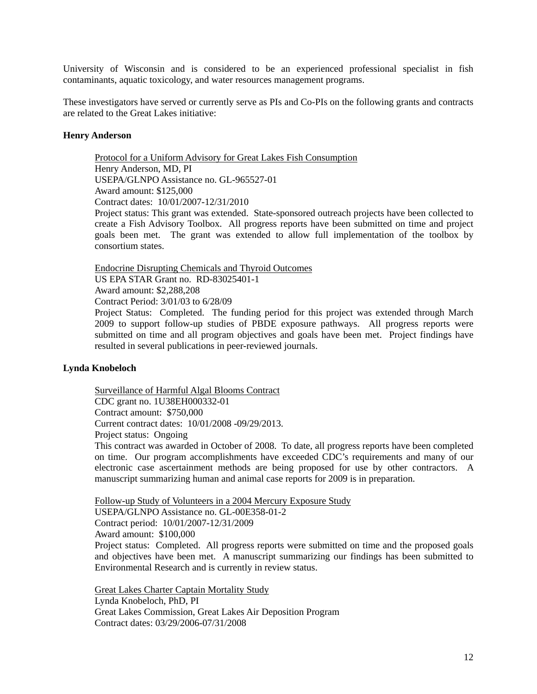University of Wisconsin and is considered to be an experienced professional specialist in fish contaminants, aquatic toxicology, and water resources management programs.

These investigators have served or currently serve as PIs and Co-PIs on the following grants and contracts are related to the Great Lakes initiative:

### **Henry Anderson**

Protocol for a Uniform Advisory for Great Lakes Fish Consumption Henry Anderson, MD, PI USEPA/GLNPO Assistance no. GL-965527-01 Award amount: \$125,000 Contract dates: 10/01/2007-12/31/2010

Project status: This grant was extended. State-sponsored outreach projects have been collected to create a Fish Advisory Toolbox. All progress reports have been submitted on time and project goals been met. The grant was extended to allow full implementation of the toolbox by consortium states.

Endocrine Disrupting Chemicals and Thyroid Outcomes

US EPA STAR Grant no. RD-83025401-1

Award amount: \$2,288,208

Contract Period: 3/01/03 to 6/28/09

Project Status: Completed. The funding period for this project was extended through March 2009 to support follow-up studies of PBDE exposure pathways. All progress reports were submitted on time and all program objectives and goals have been met. Project findings have resulted in several publications in peer-reviewed journals.

# **Lynda Knobeloch**

Surveillance of Harmful Algal Blooms Contract CDC grant no. 1U38EH000332-01 Contract amount: \$750,000 Current contract dates: 10/01/2008 -09/29/2013. Project status: Ongoing

This contract was awarded in October of 2008. To date, all progress reports have been completed on time. Our program accomplishments have exceeded CDC's requirements and many of our electronic case ascertainment methods are being proposed for use by other contractors. A manuscript summarizing human and animal case reports for 2009 is in preparation.

Follow-up Study of Volunteers in a 2004 Mercury Exposure Study

USEPA/GLNPO Assistance no. GL-00E358-01-2 Contract period: 10/01/2007-12/31/2009

Award amount: \$100,000

Project status: Completed. All progress reports were submitted on time and the proposed goals and objectives have been met. A manuscript summarizing our findings has been submitted to Environmental Research and is currently in review status.

Great Lakes Charter Captain Mortality Study Lynda Knobeloch, PhD, PI Great Lakes Commission, Great Lakes Air Deposition Program Contract dates: 03/29/2006-07/31/2008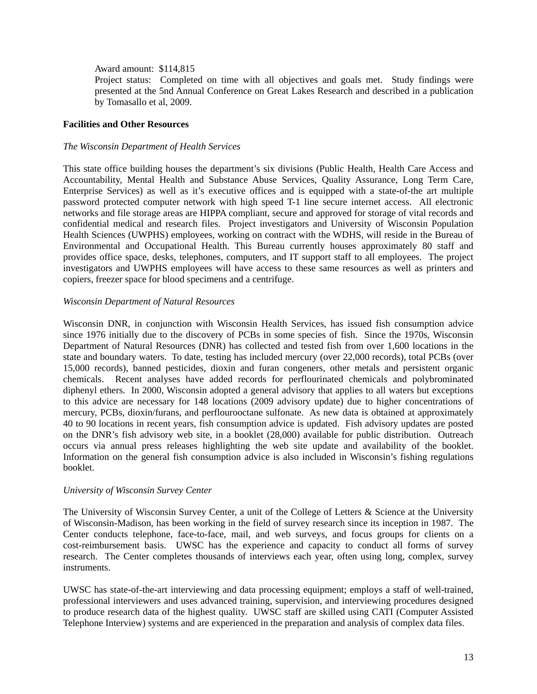Award amount: \$114,815

Project status: Completed on time with all objectives and goals met. Study findings were presented at the 5nd Annual Conference on Great Lakes Research and described in a publication by Tomasallo et al, 2009.

### **Facilities and Other Resources**

### *The Wisconsin Department of Health Services*

This state office building houses the department's six divisions (Public Health, Health Care Access and Accountability, Mental Health and Substance Abuse Services, Quality Assurance, Long Term Care, Enterprise Services) as well as it's executive offices and is equipped with a state-of-the art multiple password protected computer network with high speed T-1 line secure internet access. All electronic networks and file storage areas are HIPPA compliant, secure and approved for storage of vital records and confidential medical and research files. Project investigators and University of Wisconsin Population Health Sciences (UWPHS) employees, working on contract with the WDHS, will reside in the Bureau of Environmental and Occupational Health. This Bureau currently houses approximately 80 staff and provides office space, desks, telephones, computers, and IT support staff to all employees. The project investigators and UWPHS employees will have access to these same resources as well as printers and copiers, freezer space for blood specimens and a centrifuge.

# *Wisconsin Department of Natural Resources*

Wisconsin DNR, in conjunction with Wisconsin Health Services, has issued fish consumption advice since 1976 initially due to the discovery of PCBs in some species of fish. Since the 1970s, Wisconsin Department of Natural Resources (DNR) has collected and tested fish from over 1,600 locations in the state and boundary waters. To date, testing has included mercury (over 22,000 records), total PCBs (over 15,000 records), banned pesticides, dioxin and furan congeners, other metals and persistent organic chemicals. Recent analyses have added records for perflourinated chemicals and polybrominated diphenyl ethers. In 2000, Wisconsin adopted a general advisory that applies to all waters but exceptions to this advice are necessary for 148 locations (2009 advisory update) due to higher concentrations of mercury, PCBs, dioxin/furans, and perflourooctane sulfonate. As new data is obtained at approximately 40 to 90 locations in recent years, fish consumption advice is updated. Fish advisory updates are posted on the DNR's fish advisory web site, in a booklet (28,000) available for public distribution. Outreach occurs via annual press releases highlighting the web site update and availability of the booklet. Information on the general fish consumption advice is also included in Wisconsin's fishing regulations booklet.

#### *University of Wisconsin Survey Center*

The University of Wisconsin Survey Center, a unit of the College of Letters & Science at the University of Wisconsin-Madison, has been working in the field of survey research since its inception in 1987. The Center conducts telephone, face-to-face, mail, and web surveys, and focus groups for clients on a cost-reimbursement basis. UWSC has the experience and capacity to conduct all forms of survey research. The Center completes thousands of interviews each year, often using long, complex, survey instruments.

UWSC has state-of-the-art interviewing and data processing equipment; employs a staff of well-trained, professional interviewers and uses advanced training, supervision, and interviewing procedures designed to produce research data of the highest quality. UWSC staff are skilled using CATI (Computer Assisted Telephone Interview) systems and are experienced in the preparation and analysis of complex data files.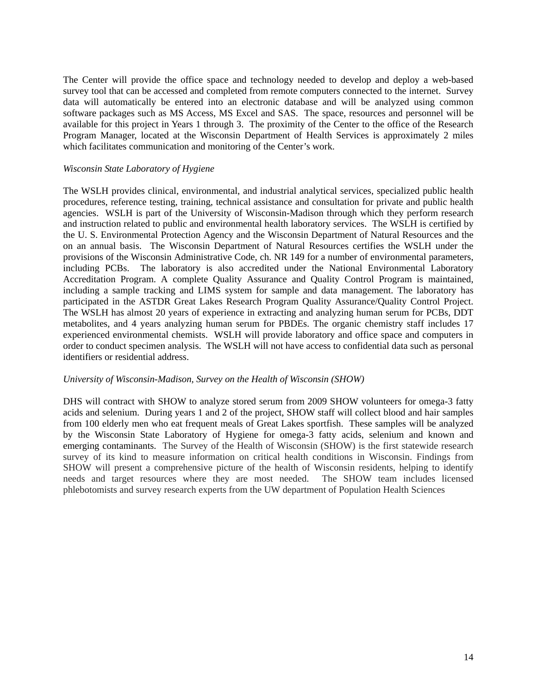The Center will provide the office space and technology needed to develop and deploy a web-based survey tool that can be accessed and completed from remote computers connected to the internet. Survey data will automatically be entered into an electronic database and will be analyzed using common software packages such as MS Access, MS Excel and SAS. The space, resources and personnel will be available for this project in Years 1 through 3. The proximity of the Center to the office of the Research Program Manager, located at the Wisconsin Department of Health Services is approximately 2 miles which facilitates communication and monitoring of the Center's work.

### *Wisconsin State Laboratory of Hygiene*

The WSLH provides clinical, environmental, and industrial analytical services, specialized public health procedures, reference testing, training, technical assistance and consultation for private and public health agencies. WSLH is part of the University of Wisconsin-Madison through which they perform research and instruction related to public and environmental health laboratory services. The WSLH is certified by the U. S. Environmental Protection Agency and the Wisconsin Department of Natural Resources and the on an annual basis. The Wisconsin Department of Natural Resources certifies the WSLH under the provisions of the Wisconsin Administrative Code, ch. NR 149 for a number of environmental parameters, including PCBs. The laboratory is also accredited under the National Environmental Laboratory Accreditation Program. A complete Quality Assurance and Quality Control Program is maintained, including a sample tracking and LIMS system for sample and data management. The laboratory has participated in the ASTDR Great Lakes Research Program Quality Assurance/Quality Control Project. The WSLH has almost 20 years of experience in extracting and analyzing human serum for PCBs, DDT metabolites, and 4 years analyzing human serum for PBDEs. The organic chemistry staff includes 17 experienced environmental chemists. WSLH will provide laboratory and office space and computers in order to conduct specimen analysis. The WSLH will not have access to confidential data such as personal identifiers or residential address.

#### *University of Wisconsin-Madison, Survey on the Health of Wisconsin (SHOW)*

DHS will contract with SHOW to analyze stored serum from 2009 SHOW volunteers for omega-3 fatty acids and selenium. During years 1 and 2 of the project, SHOW staff will collect blood and hair samples from 100 elderly men who eat frequent meals of Great Lakes sportfish. These samples will be analyzed by the Wisconsin State Laboratory of Hygiene for omega-3 fatty acids, selenium and known and emerging contaminants. The Survey of the Health of Wisconsin (SHOW) is the first statewide research survey of its kind to measure information on critical health conditions in Wisconsin. Findings from SHOW will present a comprehensive picture of the health of Wisconsin residents, helping to identify needs and target resources where they are most needed. The SHOW team includes licensed phlebotomists and survey research experts from the UW department of Population Health Sciences